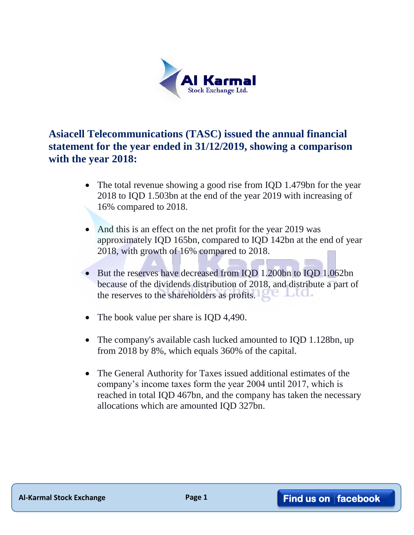

**Asiacell Telecommunications (TASC) issued the annual financial statement for the year ended in 31/12/2019, showing a comparison with the year 2018:**

- The total revenue showing a good rise from IQD 1.479bn for the year 2018 to IQD 1.503bn at the end of the year 2019 with increasing of 16% compared to 2018.
- And this is an effect on the net profit for the year 2019 was approximately IQD 165bn, compared to IQD 142bn at the end of year 2018, with growth of 16% compared to 2018.
- But the reserves have decreased from IQD 1.200bn to IQD 1.062bn because of the dividends distribution of 2018, and distribute a part of the reserves to the shareholders as profits.
- The book value per share is IQD 4,490.
- The company's available cash lucked amounted to IQD 1.128bn, up from 2018 by 8%, which equals 360% of the capital.
- The General Authority for Taxes issued additional estimates of the company's income taxes form the year 2004 until 2017, which is reached in total IQD 467bn, and the company has taken the necessary allocations which are amounted IQD 327bn.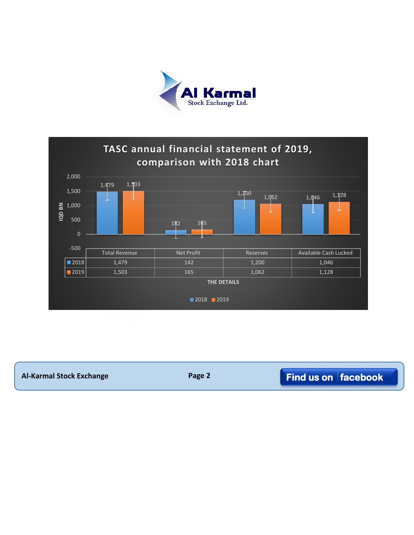



| <b>Al-Karmal Stock Exchange</b> | Page 2 | $\blacksquare$ Find us on $\vert$ facebook |
|---------------------------------|--------|--------------------------------------------|
|---------------------------------|--------|--------------------------------------------|